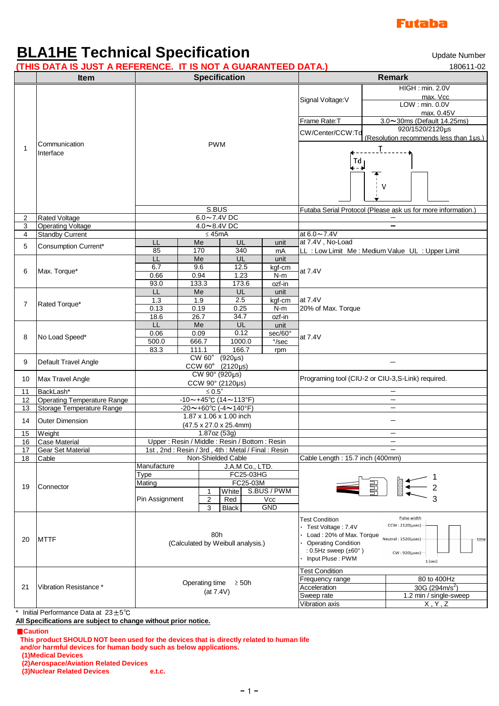

## **BLA1HE Technical Specification**

**(THIS DATA IS JUST A REFERENCE. IT IS NOT A GUARANTEED DATA.)** 180611-02

Update Number

|                | THIS DATA IS JUST A REFERENCE. IT IS NOT A GUARANTEED DATA. |                                                                          |       |                              |       |         |                                                                                                                                                                                                                                                                                                                                                          | 100011-02 |                                                              |  |
|----------------|-------------------------------------------------------------|--------------------------------------------------------------------------|-------|------------------------------|-------|---------|----------------------------------------------------------------------------------------------------------------------------------------------------------------------------------------------------------------------------------------------------------------------------------------------------------------------------------------------------------|-----------|--------------------------------------------------------------|--|
|                | <b>Item</b>                                                 | <b>Specification</b>                                                     |       |                              |       |         |                                                                                                                                                                                                                                                                                                                                                          |           | <b>Remark</b>                                                |  |
|                |                                                             |                                                                          |       |                              |       |         |                                                                                                                                                                                                                                                                                                                                                          |           | HIGH : min. 2.0V                                             |  |
|                | Communication                                               | <b>PWM</b>                                                               |       |                              |       |         |                                                                                                                                                                                                                                                                                                                                                          |           | max. Vcc                                                     |  |
|                |                                                             |                                                                          |       |                              |       |         | Signal Voltage: V                                                                                                                                                                                                                                                                                                                                        |           | LOW: min. 0.0V                                               |  |
| 1              |                                                             |                                                                          |       |                              |       |         |                                                                                                                                                                                                                                                                                                                                                          |           | max. 0.45V                                                   |  |
|                |                                                             |                                                                          |       |                              |       |         | Frame Rate:T                                                                                                                                                                                                                                                                                                                                             |           | 3.0~30ms (Default 14.25ms)                                   |  |
|                |                                                             |                                                                          |       |                              |       |         | CW/Center/CCW:Td                                                                                                                                                                                                                                                                                                                                         |           | 920/1520/2120µs                                              |  |
|                |                                                             |                                                                          |       |                              |       |         | (Resolution recommends less than 1µs.)                                                                                                                                                                                                                                                                                                                   |           |                                                              |  |
|                |                                                             |                                                                          |       |                              |       |         |                                                                                                                                                                                                                                                                                                                                                          | Τ         |                                                              |  |
|                | Interface                                                   |                                                                          |       |                              |       |         |                                                                                                                                                                                                                                                                                                                                                          |           |                                                              |  |
|                |                                                             |                                                                          |       |                              |       |         | Td<br>$\leftarrow$ $\rightarrow$                                                                                                                                                                                                                                                                                                                         |           |                                                              |  |
|                |                                                             |                                                                          |       |                              |       |         |                                                                                                                                                                                                                                                                                                                                                          |           |                                                              |  |
|                |                                                             |                                                                          |       |                              |       |         |                                                                                                                                                                                                                                                                                                                                                          | v         |                                                              |  |
|                |                                                             |                                                                          |       |                              |       |         |                                                                                                                                                                                                                                                                                                                                                          |           |                                                              |  |
|                |                                                             |                                                                          |       |                              |       |         |                                                                                                                                                                                                                                                                                                                                                          |           |                                                              |  |
|                |                                                             | S.BUS                                                                    |       |                              |       |         |                                                                                                                                                                                                                                                                                                                                                          |           | Futaba Serial Protocol (Please ask us for more information.) |  |
| 2              | Rated Voltage                                               | $6.0 \sim 7.4$ V DC                                                      |       |                              |       |         |                                                                                                                                                                                                                                                                                                                                                          |           |                                                              |  |
| 3              | <b>Operating Voltage</b>                                    | $4.0 - 8.4$ VDC                                                          |       |                              |       |         |                                                                                                                                                                                                                                                                                                                                                          |           |                                                              |  |
| 4              | <b>Standby Current</b>                                      | $≤ 45mA$                                                                 |       |                              |       |         | at 6.0~7.4V                                                                                                                                                                                                                                                                                                                                              |           |                                                              |  |
|                |                                                             | LL                                                                       | Me    |                              | UL    | unit    | at 7.4V, No-Load                                                                                                                                                                                                                                                                                                                                         |           |                                                              |  |
| 5              | Consumption Current*                                        | 85                                                                       | 170   |                              | 340   | mA      |                                                                                                                                                                                                                                                                                                                                                          |           | LL : Low Limit Me : Medium Value UL : Upper Limit            |  |
|                | Max. Torque*                                                | LL                                                                       | Me    |                              | UL    | unit    |                                                                                                                                                                                                                                                                                                                                                          |           |                                                              |  |
|                |                                                             | 6.7                                                                      | 9.6   |                              | 12.5  | kgf-cm  |                                                                                                                                                                                                                                                                                                                                                          |           |                                                              |  |
| 6              |                                                             | 0.66                                                                     | 0.94  |                              | 1.23  | $N-m$   | at 7.4V                                                                                                                                                                                                                                                                                                                                                  |           |                                                              |  |
|                |                                                             | 93.0                                                                     | 133.3 |                              | 173.6 | ozf-in  |                                                                                                                                                                                                                                                                                                                                                          |           |                                                              |  |
| $\overline{7}$ | Rated Torque*                                               | LL                                                                       | Me    |                              | UL    | unit    |                                                                                                                                                                                                                                                                                                                                                          |           |                                                              |  |
|                |                                                             | 1.3                                                                      | 1.9   |                              | 2.5   | kgf-cm  | at 7.4V<br>20% of Max. Torque                                                                                                                                                                                                                                                                                                                            |           |                                                              |  |
|                |                                                             | 0.13                                                                     | 0.19  |                              | 0.25  | $N-m$   |                                                                                                                                                                                                                                                                                                                                                          |           |                                                              |  |
|                |                                                             | 18.6                                                                     | 26.7  |                              | 34.7  | ozf-in  |                                                                                                                                                                                                                                                                                                                                                          |           |                                                              |  |
|                | No Load Speed*                                              | LL                                                                       | Me    |                              | UL    | unit    |                                                                                                                                                                                                                                                                                                                                                          |           |                                                              |  |
| 8              |                                                             | 0.12<br>0.09<br>0.06<br>500.0<br>666.7<br>1000.0<br>$\degree$ /sec       |       |                              |       | sec/60° | at 7.4V                                                                                                                                                                                                                                                                                                                                                  |           |                                                              |  |
|                |                                                             |                                                                          |       |                              |       |         |                                                                                                                                                                                                                                                                                                                                                          |           |                                                              |  |
|                |                                                             | 83.3                                                                     | 111.1 |                              | 166.7 | rpm     |                                                                                                                                                                                                                                                                                                                                                          |           |                                                              |  |
| 9              | Default Travel Angle                                        | CM <sub>60</sub> °<br>$(920\mu s)$<br>CCW 60° (2120µs)<br>CW 90° (920µs) |       |                              |       |         |                                                                                                                                                                                                                                                                                                                                                          |           |                                                              |  |
|                |                                                             |                                                                          |       |                              |       |         |                                                                                                                                                                                                                                                                                                                                                          |           |                                                              |  |
| 10             | Max Travel Angle                                            | CCW 90° (2120µs)                                                         |       |                              |       |         | Programing tool (CIU-2 or CIU-3,S-Link) required.                                                                                                                                                                                                                                                                                                        |           |                                                              |  |
| 11             | BackLash*                                                   | $\leq 0.5^\circ$                                                         |       |                              |       |         |                                                                                                                                                                                                                                                                                                                                                          |           |                                                              |  |
| 12             | <b>Operating Temperature Range</b>                          | $-10$ ~+45°C (14~113°F)                                                  |       |                              |       |         |                                                                                                                                                                                                                                                                                                                                                          |           | $\overline{\phantom{a}}$                                     |  |
| 13             | Storage Temperature Range                                   | $-20$ ~+60°C (-4~140°F)                                                  |       |                              |       |         |                                                                                                                                                                                                                                                                                                                                                          |           |                                                              |  |
|                |                                                             | 1.87 x 1.06 x 1.00 inch                                                  |       |                              |       |         |                                                                                                                                                                                                                                                                                                                                                          |           |                                                              |  |
| 14             | <b>Outer Dimension</b>                                      | (47.5 x 27.0 x 25.4mm)                                                   |       |                              |       |         |                                                                                                                                                                                                                                                                                                                                                          |           |                                                              |  |
| 15             | Weight                                                      | 1.87oz (53g)                                                             |       |                              |       |         |                                                                                                                                                                                                                                                                                                                                                          |           |                                                              |  |
| 16             | Case Material                                               | Upper: Resin / Middle: Resin / Bottom: Resin                             |       |                              |       |         |                                                                                                                                                                                                                                                                                                                                                          |           |                                                              |  |
| 17             | Gear Set Material                                           | 1st, 2nd: Resin / 3rd, 4th: Metal / Final: Resin                         |       |                              |       |         |                                                                                                                                                                                                                                                                                                                                                          |           | $\overline{\phantom{a}}$                                     |  |
| 18             | Cable                                                       | Non-Shielded Cable                                                       |       |                              |       |         | Cable Length: 15.7 inch (400mm)                                                                                                                                                                                                                                                                                                                          |           |                                                              |  |
| 19             | Connector                                                   | Manufacture<br>J.A.M Co., LTD.                                           |       |                              |       |         |                                                                                                                                                                                                                                                                                                                                                          |           |                                                              |  |
|                |                                                             | Type                                                                     |       | FC25-03HG                    |       |         | $\begin{picture}(120,115) \put(0,0){\line(1,0){15}} \put(15,0){\line(1,0){15}} \put(15,0){\line(1,0){15}} \put(15,0){\line(1,0){15}} \put(15,0){\line(1,0){15}} \put(15,0){\line(1,0){15}} \put(15,0){\line(1,0){15}} \put(15,0){\line(1,0){15}} \put(15,0){\line(1,0){15}} \put(15,0){\line(1,0){15}} \put(15,0){\line(1,0){15}} \put(15,0){\line$<br>昌 |           |                                                              |  |
|                |                                                             | Mating                                                                   |       | FC25-03M                     |       |         |                                                                                                                                                                                                                                                                                                                                                          |           |                                                              |  |
|                |                                                             |                                                                          |       | S.BUS / PWM<br>White         |       |         |                                                                                                                                                                                                                                                                                                                                                          |           |                                                              |  |
|                |                                                             | Pin Assignment                                                           |       | $\overline{c}$<br>Vcc<br>Red |       |         |                                                                                                                                                                                                                                                                                                                                                          |           |                                                              |  |
|                |                                                             |                                                                          |       | GND<br>3<br><b>Black</b>     |       |         |                                                                                                                                                                                                                                                                                                                                                          |           |                                                              |  |
|                |                                                             | 80h<br>(Calculated by Weibull analysis.)                                 |       |                              |       |         | <b>Test Condition</b>                                                                                                                                                                                                                                                                                                                                    |           | Pulse width                                                  |  |
|                | <b>MTTF</b>                                                 |                                                                          |       |                              |       |         | CCW: 2120(usec)<br>Test Voltage: 7.4V<br>Load: 20% of Max. Torque<br>Neutral: 1520(usec)<br><u>time</u><br><b>Operating Condition</b><br>: $0.5$ Hz sweep ( $\pm 60^\circ$ )<br>CW: 920(usec)                                                                                                                                                            |           |                                                              |  |
|                |                                                             |                                                                          |       |                              |       |         |                                                                                                                                                                                                                                                                                                                                                          |           |                                                              |  |
| 20             |                                                             |                                                                          |       |                              |       |         |                                                                                                                                                                                                                                                                                                                                                          |           |                                                              |  |
|                |                                                             |                                                                          |       |                              |       |         |                                                                                                                                                                                                                                                                                                                                                          |           |                                                              |  |
|                |                                                             |                                                                          |       |                              |       |         | Input Pluse: PWM<br>$1$ (sec)                                                                                                                                                                                                                                                                                                                            |           |                                                              |  |
|                |                                                             |                                                                          |       |                              |       |         | <b>Test Condition</b>                                                                                                                                                                                                                                                                                                                                    |           |                                                              |  |
| 21             | Vibration Resistance *                                      |                                                                          |       |                              |       |         | Frequency range                                                                                                                                                                                                                                                                                                                                          |           | 80 to 400Hz                                                  |  |
|                |                                                             | Operating time $\geq$ 50h<br>(at $7.4V$ )                                |       |                              |       |         | Acceleration                                                                                                                                                                                                                                                                                                                                             |           | 30G (294m/s <sup>2</sup> )                                   |  |
|                |                                                             |                                                                          |       |                              |       |         | Sweep rate                                                                                                                                                                                                                                                                                                                                               |           | 1.2 min / single-sweep                                       |  |
|                |                                                             |                                                                          |       |                              |       |         | Vibration axis                                                                                                                                                                                                                                                                                                                                           |           | X, Y, Z                                                      |  |

\* Initial Performance Data at 23±5℃

**All Specifications are subject to change without prior notice.**

■**Caution**

**This product SHOULD NOT been used for the devices that is directly related to human life and/or harmful devices for human body such as below applications.**

**(1)Medical Devices**

**(2)Aerospace/Aviation Related Devices**

**(3)Nuclear Related Devices e.t.c.**